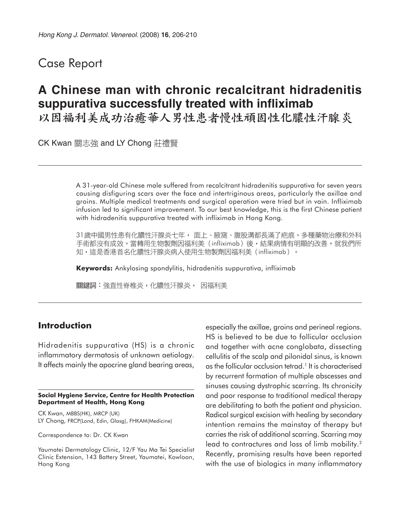## Case Report

# **A Chinese man with chronic recalcitrant hidradenitis suppurativa successfully treated with infliximab**

以因福利美成功治癒華人男性患者慢性頑固性化膿性汗腺炎

CK Kwan 關志強 and LY Chong 莊禮賢

A 31-year-old Chinese male suffered from recalcitrant hidradenitis suppurativa for seven years causing disfiguring scars over the face and intertriginous areas, particularly the axillae and groins. Multiple medical treatments and surgical operation were tried but in vain. Infliximab infusion led to significant improvement. To our best knowledge, this is the first Chinese patient with hidradenitis suppurativa treated with infliximab in Hong Kong.

31歲中國男性患有化膿性汗腺炎七年, 面上、腋窩、腹股溝都長滿了疤痕。多種藥物治療和外科 手術都沒有成效。當轉用生物製劑因福利美(infliximab)後,結果病情有明顯的改善。就我們所 知,這是香港首名化膿性汗腺炎病人使用生物製劑因福利美(infliximab)。

**Keywords:** Ankylosing spondylitis, hidradenitis suppurativa, infliximab

關鍵詞:強直性脊椎炎,化膿性汗腺炎, 因福利美

## **Introduction**

Hidradenitis suppurativa (HS) is a chronic inflammatory dermatosis of unknown aetiology. It affects mainly the apocrine gland bearing areas,

#### **Social Hygiene Service, Centre for Health Protection Department of Health, Hong Kong**

CK Kwan, MBBS(HK), MRCP (UK) LY Chong, FRCP(Lond, Edin, Glasg), FHKAM(Medicine)

Correspondence to: Dr. CK Kwan

Yaumatei Dermatology Clinic, 12/F Yau Ma Tei Specialist Clinic Extension, 143 Battery Street, Yaumatei, Kowloon, Hong Kong

especially the axillae, groins and perineal regions. HS is believed to be due to follicular occlusion and together with acne conglobata, dissecting cellulitis of the scalp and pilonidal sinus, is known as the follicular occlusion tetrad.<sup>1</sup> It is characterised by recurrent formation of multiple abscesses and sinuses causing dystrophic scarring. Its chronicity and poor response to traditional medical therapy are debilitating to both the patient and physician. Radical surgical excision with healing by secondary intention remains the mainstay of therapy but carries the risk of additional scarring. Scarring may lead to contractures and loss of limb mobility.2 Recently, promising results have been reported with the use of biologics in many inflammatory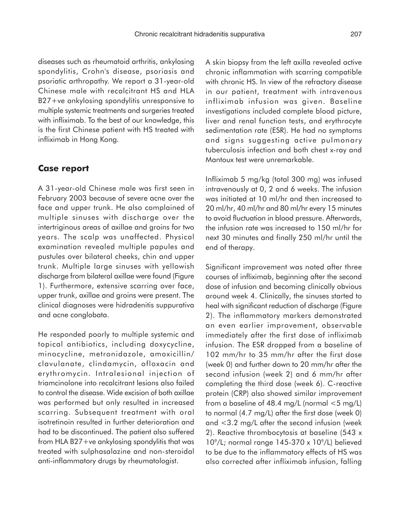diseases such as rheumatoid arthritis, ankylosing spondylitis, Crohn's disease, psoriasis and psoriatic arthropathy. We report a 31-year-old Chinese male with recalcitrant HS and HLA B27+ve ankylosing spondylitis unresponsive to multiple systemic treatments and surgeries treated with infliximab. To the best of our knowledge, this is the first Chinese patient with HS treated with infliximab in Hong Kong.

### **Case report**

A 31-year-old Chinese male was first seen in February 2003 because of severe acne over the face and upper trunk. He also complained of multiple sinuses with discharge over the intertriginous areas of axillae and groins for two years. The scalp was unaffected. Physical examination revealed multiple papules and pustules over bilateral cheeks, chin and upper trunk. Multiple large sinuses with yellowish discharge from bilateral axillae were found (Figure 1). Furthermore, extensive scarring over face, upper trunk, axillae and groins were present. The clinical diagnoses were hidradenitis suppurativa and acne conglobata.

He responded poorly to multiple systemic and topical antibiotics, including doxycycline, minocycline, metronidazole, amoxicillin/ clavulanate, clindamycin, ofloxacin and erythromycin. Intralesional injection of triamcinolone into recalcitrant lesions also failed to control the disease. Wide excision of both axillae was performed but only resulted in increased scarring. Subsequent treatment with oral isotretinoin resulted in further deterioration and had to be discontinued. The patient also suffered from HLA B27+ve ankylosing spondylitis that was treated with sulphasalazine and non-steroidal anti-inflammatory drugs by rheumatologist.

A skin biopsy from the left axilla revealed active chronic inflammation with scarring compatible with chronic HS. In view of the refractory disease in our patient, treatment with intravenous infliximab infusion was given. Baseline investigations included complete blood picture, liver and renal function tests, and erythrocyte sedimentation rate (ESR). He had no symptoms and signs suggesting active pulmonary tuberculosis infection and both chest x-ray and Mantoux test were unremarkable.

Infliximab 5 mg/kg (total 300 mg) was infused intravenously at 0, 2 and 6 weeks. The infusion was initiated at 10 ml/hr and then increased to 20 ml/hr, 40 ml/hr and 80 ml/hr every 15 minutes to avoid fluctuation in blood pressure. Afterwards, the infusion rate was increased to 150 ml/hr for next 30 minutes and finally 250 ml/hr until the end of therapy.

Significant improvement was noted after three courses of infliximab, beginning after the second dose of infusion and becoming clinically obvious around week 4. Clinically, the sinuses started to heal with significant reduction of discharge (Figure 2). The inflammatory markers demonstrated an even earlier improvement, observable immediately after the first dose of infliximab infusion. The ESR dropped from a baseline of 102 mm/hr to 35 mm/hr after the first dose (week 0) and further down to 20 mm/hr after the second infusion (week 2) and 6 mm/hr after completing the third dose (week 6). C-reactive protein (CRP) also showed similar improvement from a baseline of 48.4 mg/L (normal <5 mg/L) to normal (4.7 mg/L) after the first dose (week 0) and <3.2 mg/L after the second infusion (week 2). Reactive thrombocytosis at baseline (543 x  $10^{\circ}/$ L; normal range 145-370 x 10 $^{\circ}/$ L) believed to be due to the inflammatory effects of HS was also corrected after infliximab infusion, falling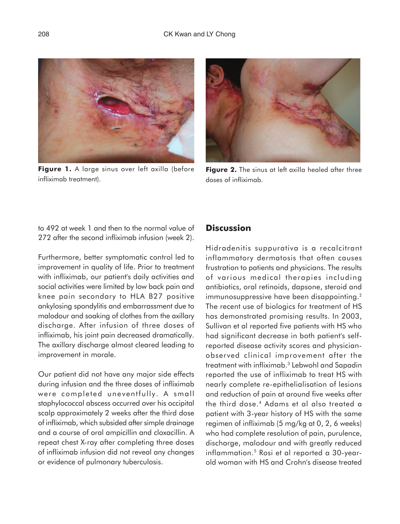

**Figure 1.** A large sinus over left axilla (before infliximab treatment).



**Figure 2.** The sinus at left axilla healed after three doses of infliximab.

to 492 at week 1 and then to the normal value of 272 after the second infliximab infusion (week 2).

Furthermore, better symptomatic control led to improvement in quality of life. Prior to treatment with infliximab, our patient's daily activities and social activities were limited by low back pain and knee pain secondary to HLA B27 positive ankylosing spondylitis and embarrassment due to malodour and soaking of clothes from the axillary discharge. After infusion of three doses of infliximab, his joint pain decreased dramatically. The axillary discharge almost cleared leading to improvement in morale.

Our patient did not have any major side effects during infusion and the three doses of infliximab were completed uneventfully. A small staphylococcal abscess occurred over his occipital scalp approximately 2 weeks after the third dose of infliximab, which subsided after simple drainage and a course of oral ampicillin and cloxacillin. A repeat chest X-ray after completing three doses of infliximab infusion did not reveal any changes or evidence of pulmonary tuberculosis.

## **Discussion**

Hidradenitis suppurativa is a recalcitrant inflammatory dermatosis that often causes frustration to patients and physicians. The results of various medical therapies including antibiotics, oral retinoids, dapsone, steroid and immunosuppressive have been disappointing.<sup>2</sup> The recent use of biologics for treatment of HS has demonstrated promising results. In 2003, Sullivan et al reported five patients with HS who had significant decrease in both patient's selfreported disease activity scores and physicianobserved clinical improvement after the treatment with infliximab.3 Lebwohl and Sapadin reported the use of infliximab to treat HS with nearly complete re-epithelialisation of lesions and reduction of pain at around five weeks after the third dose.4 Adams et al also treated a patient with 3-year history of HS with the same regimen of infliximab (5 mg/kg at 0, 2, 6 weeks) who had complete resolution of pain, purulence, discharge, malodour and with greatly reduced inflammation.5 Rosi et al reported a 30-yearold woman with HS and Crohn's disease treated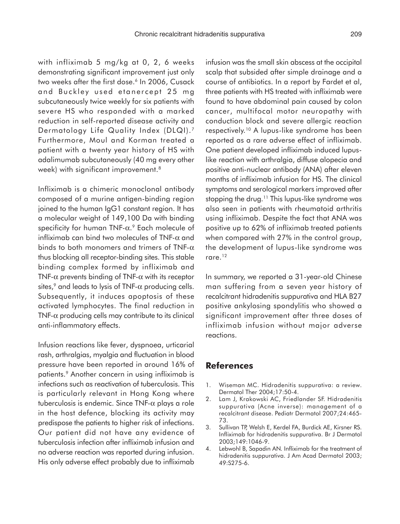with infliximab 5 mg/kg at 0, 2, 6 weeks demonstrating significant improvement just only two weeks after the first dose.<sup>6</sup> In 2006, Cusack and Buckley used etanercept 25 mg subcutaneously twice weekly for six patients with severe HS who responded with a marked reduction in self-reported disease activity and Dermatology Life Quality Index (DLQI).7 Furthermore, Moul and Korman treated a patient with a twenty year history of HS with adalimumab subcutaneously (40 mg every other week) with significant improvement.8

Infliximab is a chimeric monoclonal antibody composed of a murine antigen-binding region joined to the human IgG1 constant region. It has a molecular weight of 149,100 Da with binding specificity for human TNF-α. 9 Each molecule of infliximab can bind two molecules of TNF-α and binds to both monomers and trimers of TNF- $\alpha$ thus blocking all receptor-binding sites. This stable binding complex formed by infliximab and TNF- $\alpha$  prevents binding of TNF- $\alpha$  with its receptor sites,<sup>9</sup> and leads to lysis of TNF- $\alpha$  producing cells. Subsequently, it induces apoptosis of these activated lymphocytes. The final reduction in TNF- $\alpha$  producing cells may contribute to its clinical anti-inflammatory effects.

Infusion reactions like fever, dyspnoea, urticarial rash, arthralgias, myalgia and fluctuation in blood pressure have been reported in around 16% of patients.<sup>9</sup> Another concern in using infliximab is infections such as reactivation of tuberculosis. This is particularly relevant in Hong Kong where tuberculosis is endemic. Since TNF- $\alpha$  plays a role in the host defence, blocking its activity may predispose the patients to higher risk of infections. Our patient did not have any evidence of tuberculosis infection after infliximab infusion and no adverse reaction was reported during infusion. His only adverse effect probably due to infliximab

infusion was the small skin abscess at the occipital scalp that subsided after simple drainage and a course of antibiotics. In a report by Fardet et al, three patients with HS treated with infliximab were found to have abdominal pain caused by colon cancer, multifocal motor neuropathy with conduction block and severe allergic reaction respectively.10 A lupus-like syndrome has been reported as a rare adverse effect of infliximab. One patient developed infliximab induced lupuslike reaction with arthralgia, diffuse alopecia and positive anti-nuclear antibody (ANA) after eleven months of infliximab infusion for HS. The clinical symptoms and serological markers improved after stopping the drug.<sup>11</sup> This lupus-like syndrome was also seen in patients with rheumatoid arthritis using infliximab. Despite the fact that ANA was positive up to 62% of infliximab treated patients when compared with 27% in the control group, the development of lupus-like syndrome was rare.12

In summary, we reported a 31-year-old Chinese man suffering from a seven year history of recalcitrant hidradenitis suppurativa and HLA B27 positive ankylosing spondylitis who showed a significant improvement after three doses of infliximab infusion without major adverse reactions.

## **References**

- 1. Wiseman MC. Hidradenitis suppurativa: a review. Dermatol Ther 2004;17:50-4.
- 2. Lam J, Krakowski AC, Friedlander SF. Hidradenitis suppurativa (Acne inverse): management of a recalcitrant disease. Pediatr Dermatol 2007;24:465- 73.
- 3. Sullivan TP, Welsh E, Kerdel FA, Burdick AE, Kirsner RS. Infliximab for hidradenitis suppurativa. Br J Dermatol 2003;149:1046-9.
- 4. Lebwohl B, Sapadin AN. Infliximab for the treatment of hidradenitis suppurativa. J Am Acad Dermatol 2003; 49:S275-6.